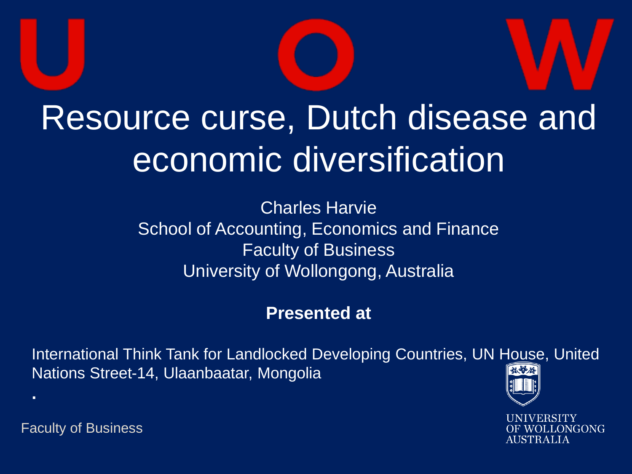

## Resource curse, Dutch disease and economic diversification

Charles Harvie School of Accounting, Economics and Finance Faculty of Business University of Wollongong, Australia

#### **Presented at**

International Think Tank for Landlocked Developing Countries, UN House, United Nations Street-14, Ulaanbaatar, Mongolia



ONGONG AUSTRALIA

Faculty of Business

**.**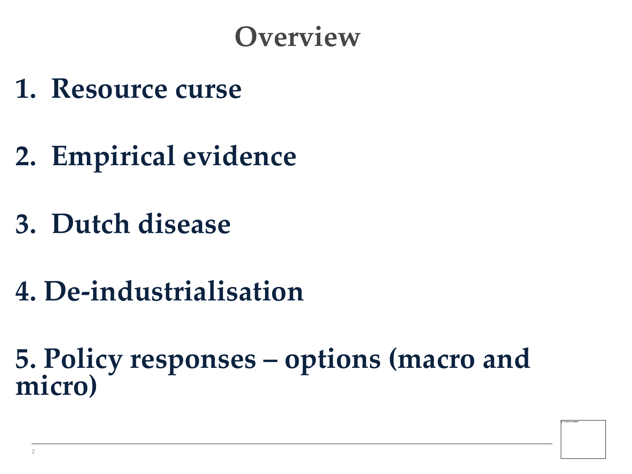#### **Overview**

- **1. Resource curse**
- **2. Empirical evidence**
- **3. Dutch disease**
- **4. De-industrialisation**

**5. Policy responses – options (macro and micro)**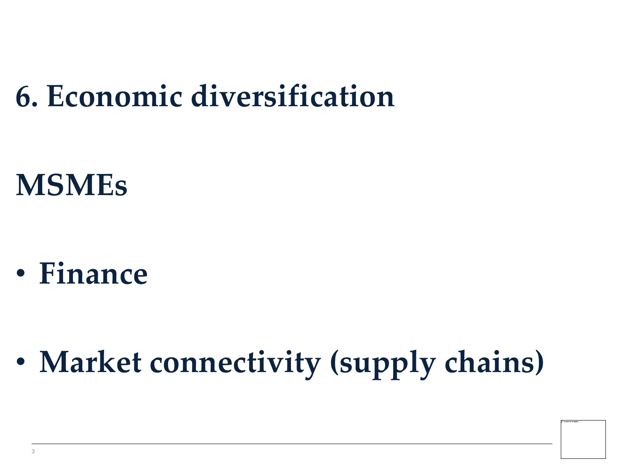### **6. Economic diversification**

#### **MSMEs**

• **Finance** 

• **Market connectivity (supply chains)**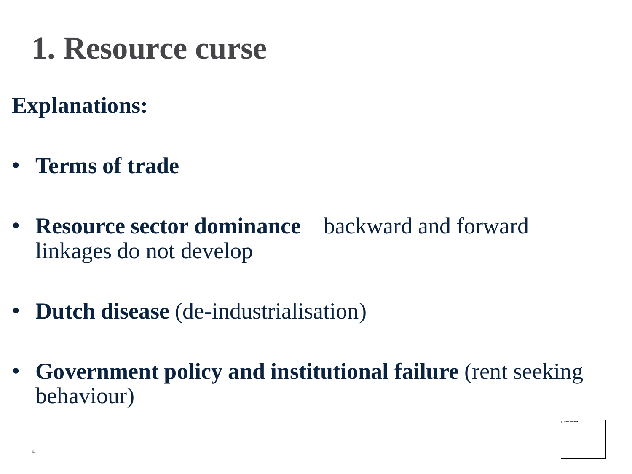### **1. Resource curse**

#### **Explanations:**

- **Terms of trade**
- **Resource sector dominance**  backward and forward linkages do not develop
- **Dutch disease** (de-industrialisation)
- **Government policy and institutional failure** (rent seeking behaviour)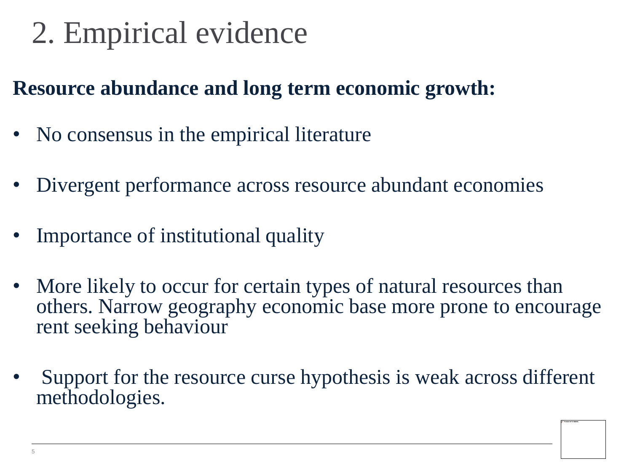### 2. Empirical evidence

#### **Resource abundance and long term economic growth:**

- No consensus in the empirical literature
- Divergent performance across resource abundant economies
- Importance of institutional quality
- More likely to occur for certain types of natural resources than others. Narrow geography economic base more prone to encourage rent seeking behaviour
- Support for the resource curse hypothesis is weak across different methodologies.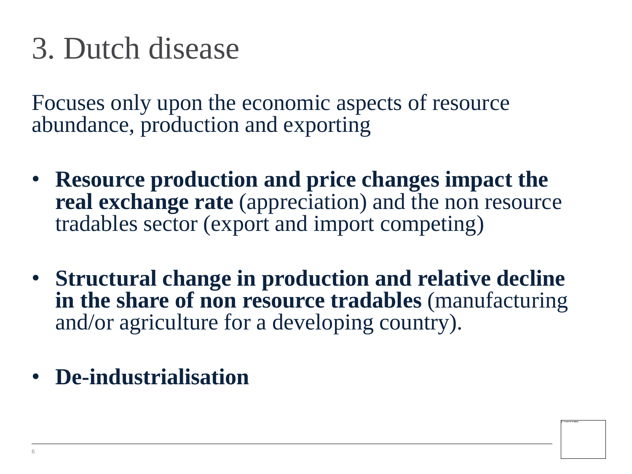#### 3. Dutch disease

Focuses only upon the economic aspects of resource abundance, production and exporting

- **Resource production and price changes impact the real exchange rate** (appreciation) and the non resource tradables sector (export and import competing)
- **Structural change in production and relative decline in the share of non resource tradables** (manufacturing and/or agriculture for a developing country).
- **De-industrialisation**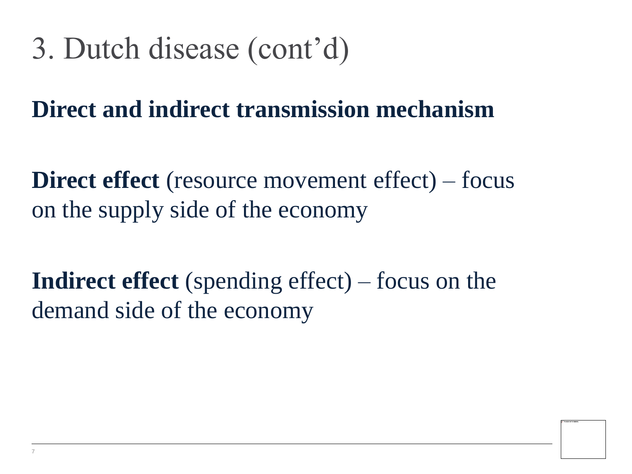### 3. Dutch disease (cont'd)

**Direct and indirect transmission mechanism**

**Direct effect** (resource movement effect) – focus on the supply side of the economy

**Indirect effect** (spending effect) – focus on the demand side of the economy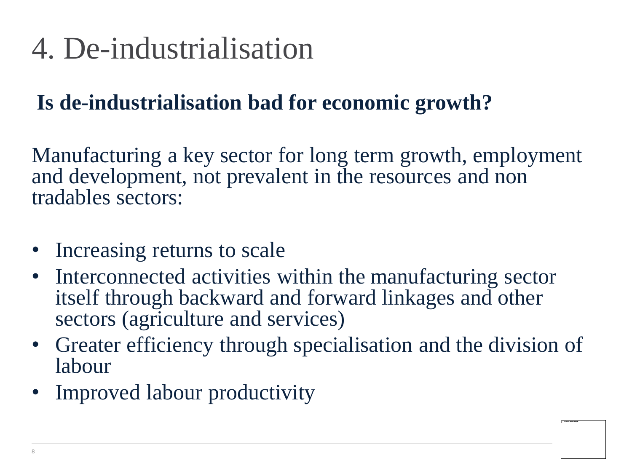### 4. De-industrialisation

#### **Is de-industrialisation bad for economic growth?**

Manufacturing a key sector for long term growth, employment and development, not prevalent in the resources and non tradables sectors:

- Increasing returns to scale
- Interconnected activities within the manufacturing sector itself through backward and forward linkages and other sectors (agriculture and services)
- Greater efficiency through specialisation and the division of labour
- Improved labour productivity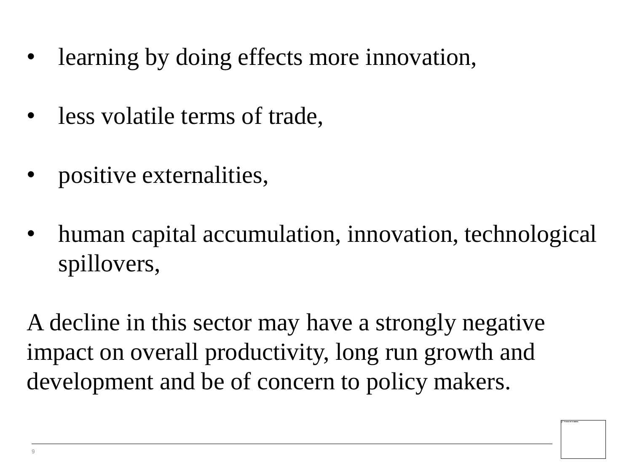- learning by doing effects more innovation,
- less volatile terms of trade,
- positive externalities,
- human capital accumulation, innovation, technological spillovers,

A decline in this sector may have a strongly negative impact on overall productivity, long run growth and development and be of concern to policy makers.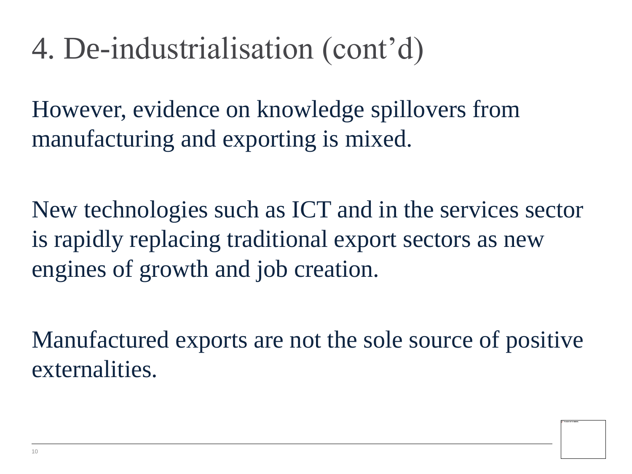### 4. De-industrialisation (cont'd)

However, evidence on knowledge spillovers from manufacturing and exporting is mixed.

New technologies such as ICT and in the services sector is rapidly replacing traditional export sectors as new engines of growth and job creation.

Manufactured exports are not the sole source of positive externalities.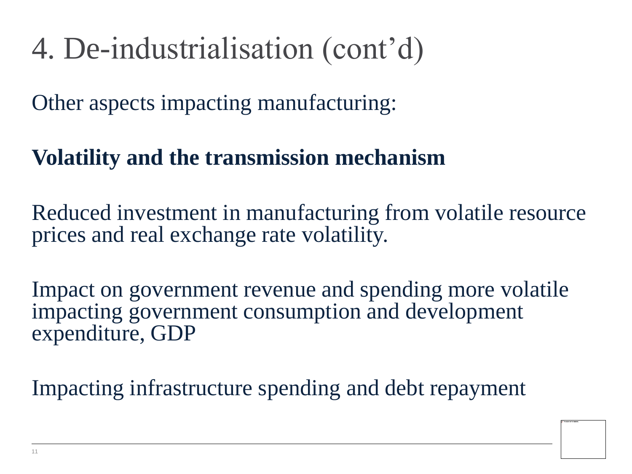### 4. De-industrialisation (cont'd)

Other aspects impacting manufacturing:

#### **Volatility and the transmission mechanism**

Reduced investment in manufacturing from volatile resource prices and real exchange rate volatility.

Impact on government revenue and spending more volatile impacting government consumption and development expenditure, GDP

Impacting infrastructure spending and debt repayment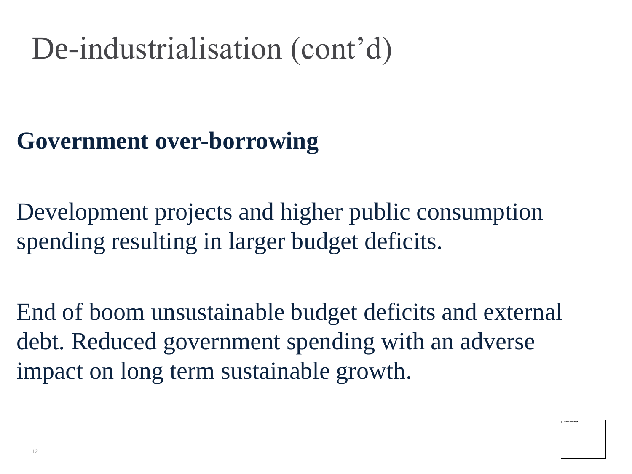### De-industrialisation (cont'd)

#### **Government over-borrowing**

Development projects and higher public consumption spending resulting in larger budget deficits.

End of boom unsustainable budget deficits and external debt. Reduced government spending with an adverse impact on long term sustainable growth.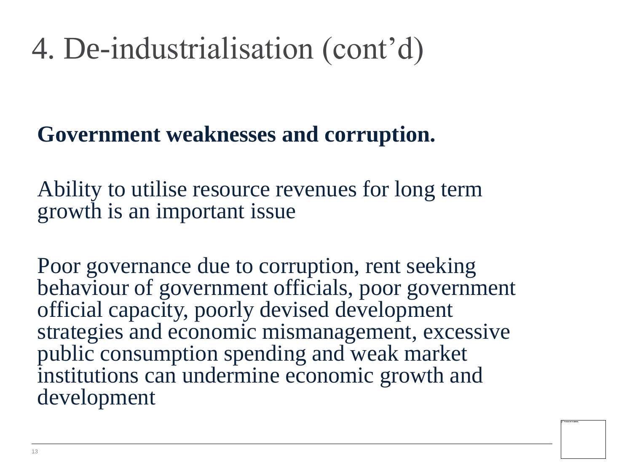### 4. De-industrialisation (cont'd)

#### **Government weaknesses and corruption.**

Ability to utilise resource revenues for long term growth is an important issue

Poor governance due to corruption, rent seeking behaviour of government officials, poor government official capacity, poorly devised development strategies and economic mismanagement, excessive public consumption spending and weak market institutions can undermine economic growth and development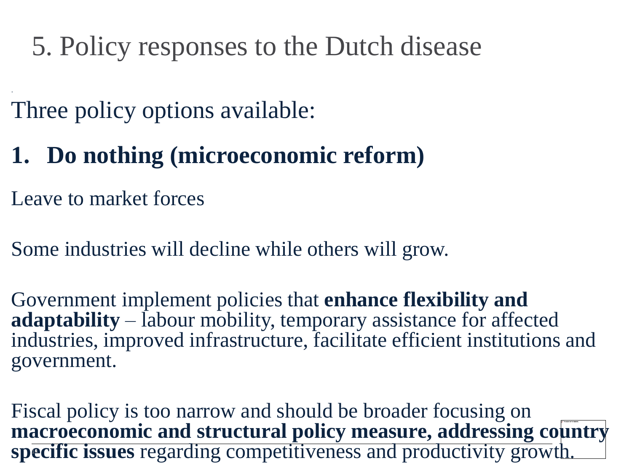Three policy options available:

#### **1. Do nothing (microeconomic reform)**

Leave to market forces

.

Some industries will decline while others will grow.

Government implement policies that **enhance flexibility and adaptability** – labour mobility, temporary assistance for affected industries, improved infrastructure, facilitate efficient institutions and government.

Fiscal policy is too narrow and should be broader focusing on **macroeconomic and structural policy measure, addressing country specific issues** regarding competitiveness and productivity growth.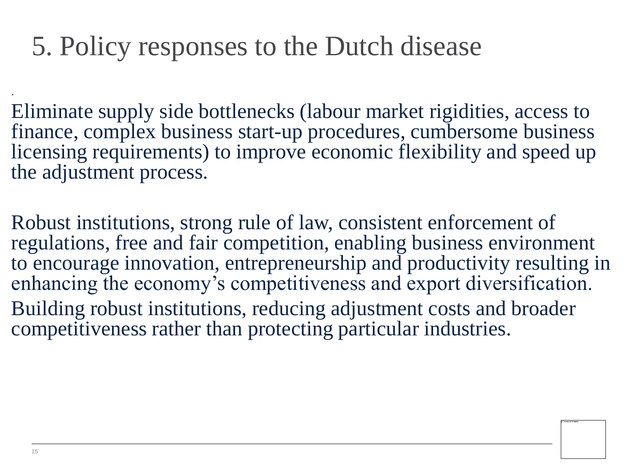Eliminate supply side bottlenecks (labour market rigidities, access to finance, complex business start-up procedures, cumbersome business licensing requirements) to improve economic flexibility and speed up the adjustment process.

Robust institutions, strong rule of law, consistent enforcement of regulations, free and fair competition, enabling business environment to encourage innovation, entrepreneurship and productivity resulting in enhancing the economy's competitiveness and export diversification. Building robust institutions, reducing adjustment costs and broader competitiveness rather than protecting particular industries.

.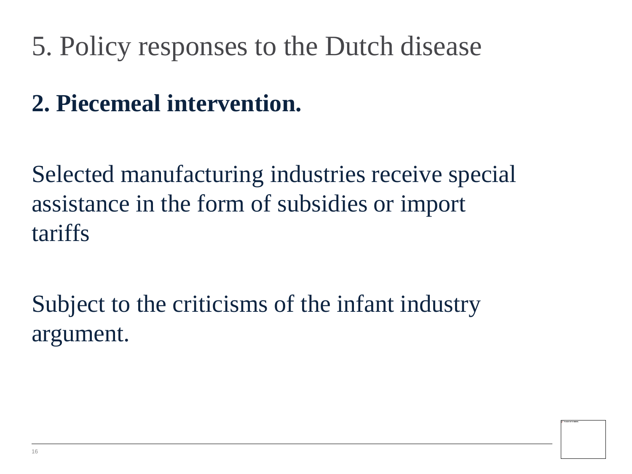#### **2. Piecemeal intervention.**

Selected manufacturing industries receive special assistance in the form of subsidies or import tariffs

Subject to the criticisms of the infant industry argument.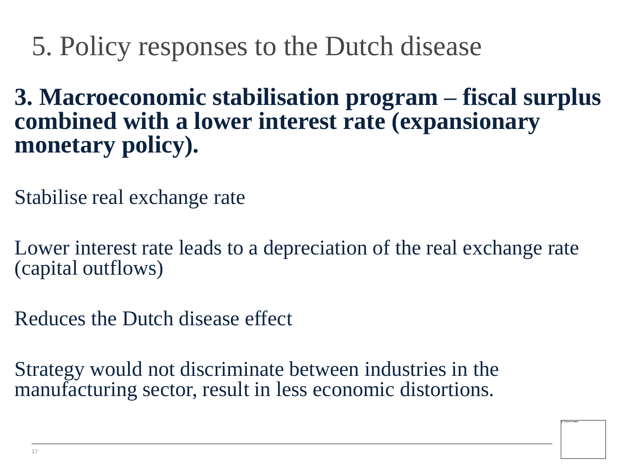**3. Macroeconomic stabilisation program – fiscal surplus combined with a lower interest rate (expansionary monetary policy).**

Stabilise real exchange rate

Lower interest rate leads to a depreciation of the real exchange rate (capital outflows)

Reduces the Dutch disease effect

Strategy would not discriminate between industries in the manufacturing sector, result in less economic distortions.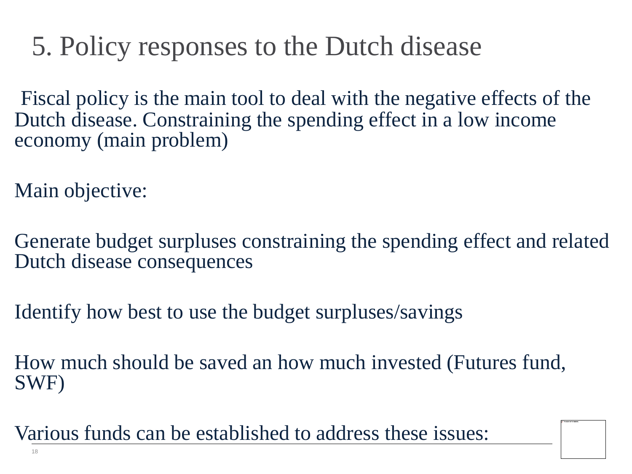Fiscal policy is the main tool to deal with the negative effects of the Dutch disease. Constraining the spending effect in a low income economy (main problem)

Main objective:

Generate budget surpluses constraining the spending effect and related Dutch disease consequences

Identify how best to use the budget surpluses/savings

How much should be saved an how much invested (Futures fund, SWF)

Various funds can be established to address these issues: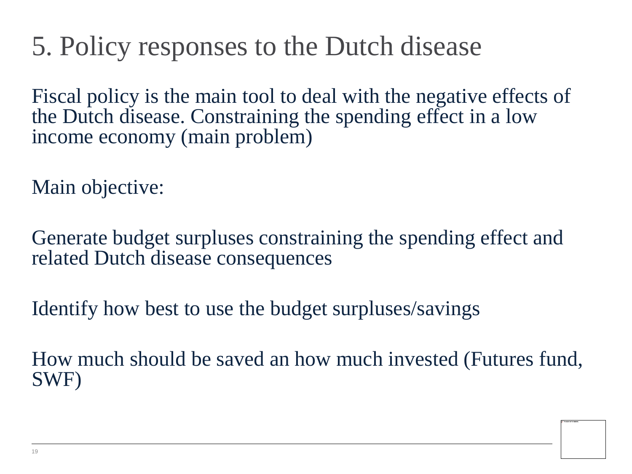Fiscal policy is the main tool to deal with the negative effects of the Dutch disease. Constraining the spending effect in a low income economy (main problem)

Main objective:

Generate budget surpluses constraining the spending effect and related Dutch disease consequences

Identify how best to use the budget surpluses/savings

How much should be saved an how much invested (Futures fund, SWF)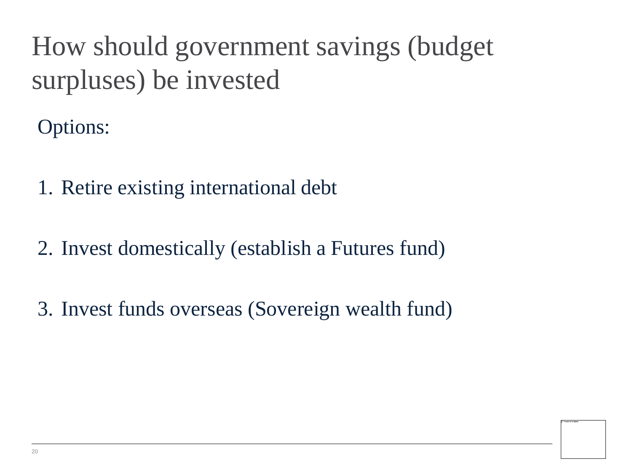#### How should government savings (budget surpluses) be invested

Options:

- 1. Retire existing international debt
- 2. Invest domestically (establish a Futures fund)
- 3. Invest funds overseas (Sovereign wealth fund)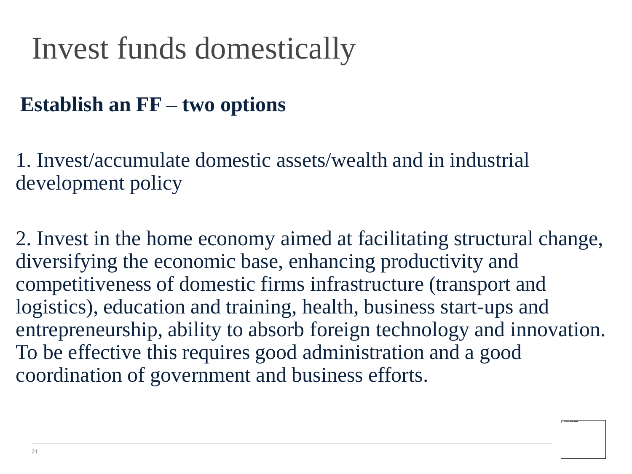### Invest funds domestically

#### **Establish an FF – two options**

1. Invest/accumulate domestic assets/wealth and in industrial development policy

2. Invest in the home economy aimed at facilitating structural change, diversifying the economic base, enhancing productivity and competitiveness of domestic firms infrastructure (transport and logistics), education and training, health, business start-ups and entrepreneurship, ability to absorb foreign technology and innovation. To be effective this requires good administration and a good coordination of government and business efforts.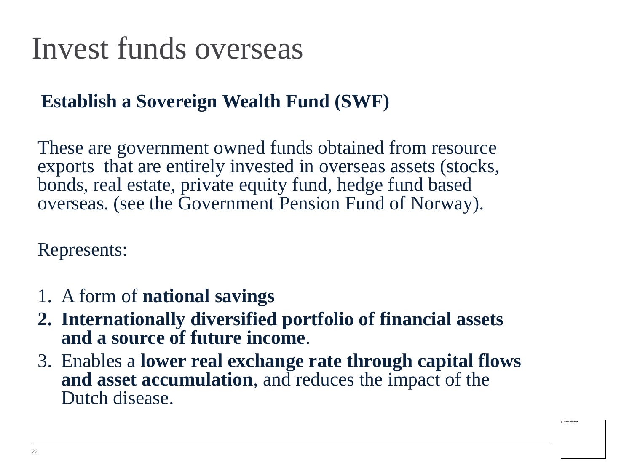### Invest funds overseas

#### **Establish a Sovereign Wealth Fund (SWF)**

These are government owned funds obtained from resource exports that are entirely invested in overseas assets (stocks, bonds, real estate, private equity fund, hedge fund based overseas. (see the Government Pension Fund of Norway).

Represents:

- 1. A form of **national savings**
- **2. Internationally diversified portfolio of financial assets and a source of future income**.
- 3. Enables a **lower real exchange rate through capital flows and asset accumulation**, and reduces the impact of the Dutch disease.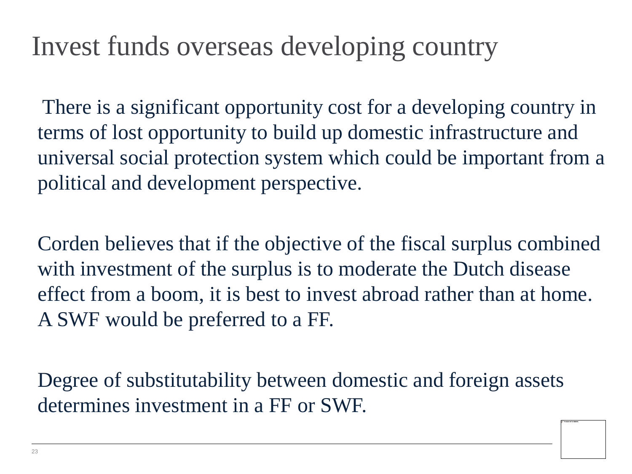#### Invest funds overseas developing country

There is a significant opportunity cost for a developing country in terms of lost opportunity to build up domestic infrastructure and universal social protection system which could be important from a political and development perspective.

Corden believes that if the objective of the fiscal surplus combined with investment of the surplus is to moderate the Dutch disease effect from a boom, it is best to invest abroad rather than at home. A SWF would be preferred to a FF.

Degree of substitutability between domestic and foreign assets determines investment in a FF or SWF.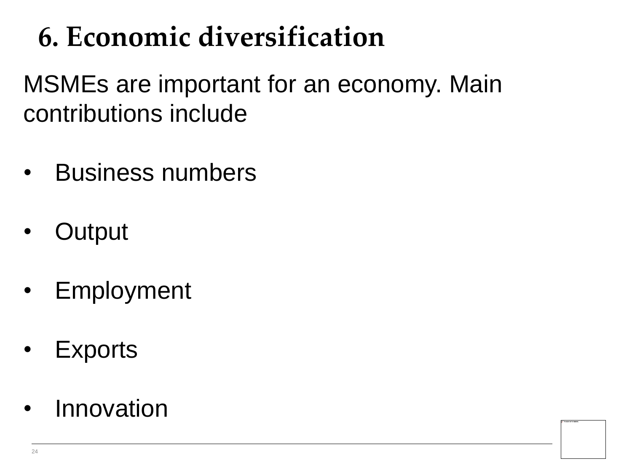### **6. Economic diversification**

MSMEs are important for an economy. Main contributions include

- Business numbers
- **Output**
- Employment
- **Exports**
- Innovation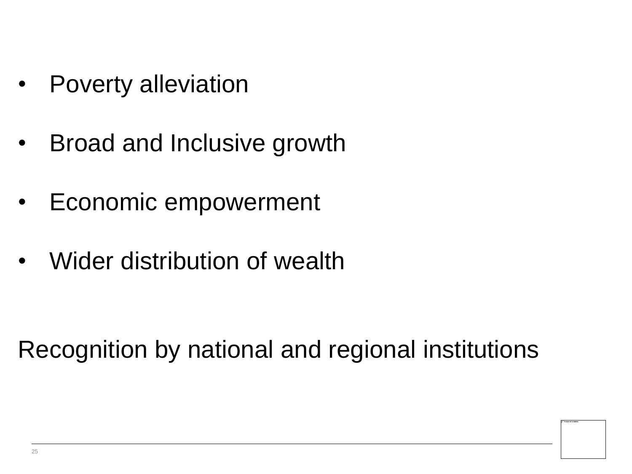- Poverty alleviation
- Broad and Inclusive growth
- Economic empowerment
- Wider distribution of wealth

Recognition by national and regional institutions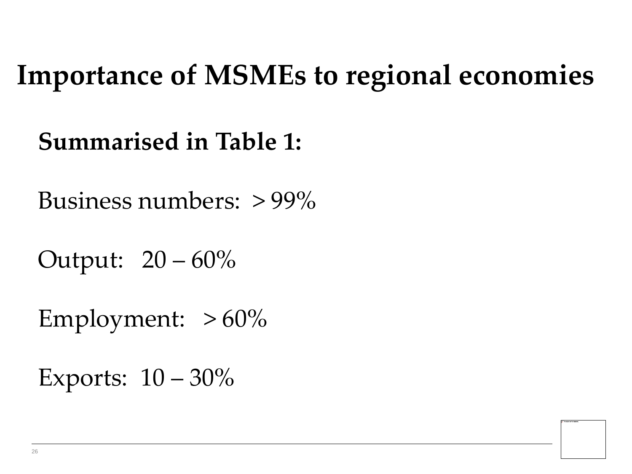#### **Importance of MSMEs to regional economies**

**Summarised in Table 1:**

Business numbers: > 99%

Output: 20 – 60%

Employment:  $>60\%$ 

Exports:  $10 - 30\%$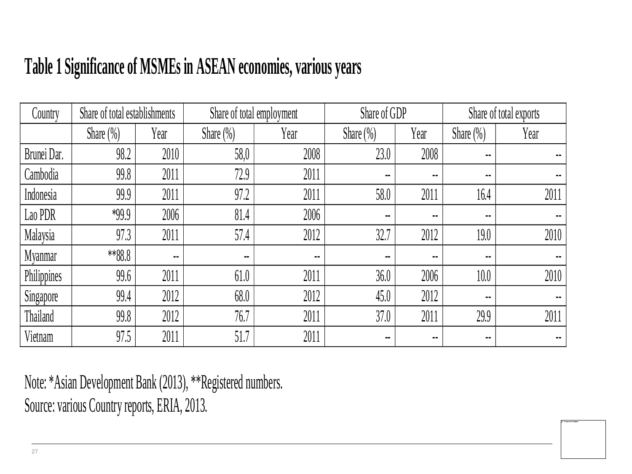#### **Table 1 Significance of MSMEs in ASEAN economies, various years**

| Country        | Share of total establishments |                | Share of total employment |        | Share of GDP             |                | Share of total exports |        |
|----------------|-------------------------------|----------------|---------------------------|--------|--------------------------|----------------|------------------------|--------|
|                | Share $(\%)$                  | Year           | Share $(\% )$             | Year   | Share $(\%)$             | Year           | Share $(\% )$          | Year   |
| Brunei Dar.    | 98.2                          | 2010           | 58,0                      | 2008   | 23.0                     | 2008           | $\sim$                 | $\sim$ |
| Cambodia       | 99.8                          | 2011           | 72.9                      | 2011   | $\sim$                   | $\sim$         | $\blacksquare$         | $\sim$ |
| Indonesia      | 99.9                          | 2011           | 97.2                      | 2011   | 58.0                     | 2011           | 16.4                   | 2011   |
| Lao PDR        | $*99.9$                       | 2006           | 81.4                      | 2006   | $\blacksquare$           | ۰.             | $\sim$ $\sim$          | $\sim$ |
| Malaysia       | 97.3                          | 2011           | 57.4                      | 2012   | 32.7                     | 2012           | 19.0                   | 2010   |
| <b>Myanmar</b> | **88.8                        | $\blacksquare$ | $\sim$                    | $\sim$ | $\overline{\phantom{a}}$ | ۰.             | $\sim$ $\sim$          | $\sim$ |
| Philippines    | 99.6                          | 2011           | 61.0                      | 2011   | 36.0                     | 2006           | 10.0                   | 2010   |
| Singapore      | 99.4                          | 2012           | 68.0                      | 2012   | 45.0                     | 2012           | $\mathbf{H}$           | $\sim$ |
| Thailand       | 99.8                          | 2012           | 76.7                      | 2011   | 37.0                     | 2011           | 29.9                   | 2011   |
| Vietnam        | 97.5                          | 2011           | 51.7                      | 2011   | $\blacksquare$           | $\blacksquare$ | $\sim$ $\sim$          | $\sim$ |

Note: \*Asian Development Bank (2013), \*\*Registered numbers. Source: various Country reports, ERIA, 2013.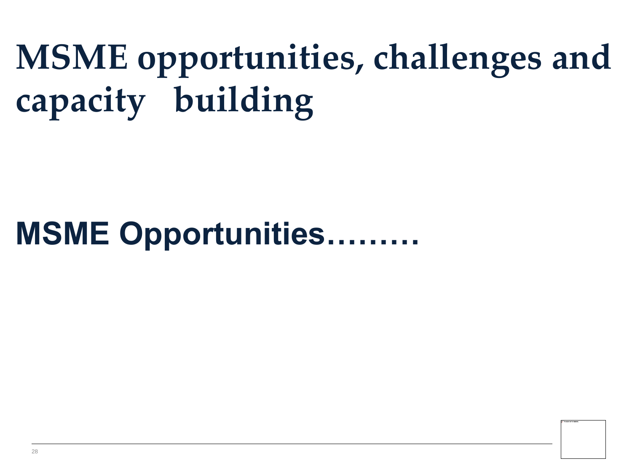## **MSME opportunities, challenges and capacity building**

### **MSME Opportunities………**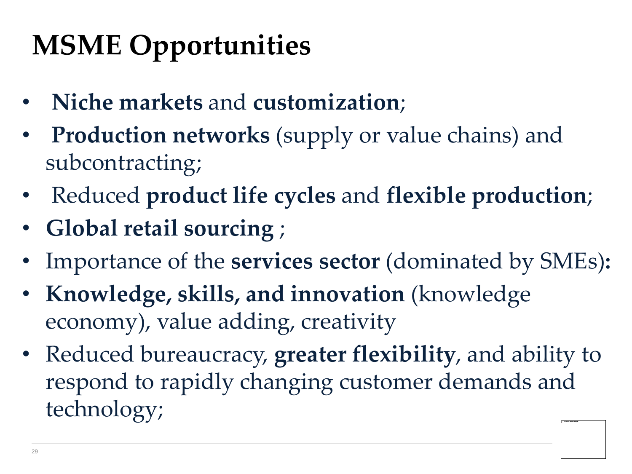### **MSME Opportunities**

- **Niche markets** and **customization**;
- **Production networks** (supply or value chains) and subcontracting;
- Reduced **product life cycles** and **flexible production**;
- **Global retail sourcing** ;
- Importance of the **services sector** (dominated by SMEs)**:**
- **Knowledge, skills, and innovation** (knowledge economy), value adding, creativity
- Reduced bureaucracy, **greater flexibility**, and ability to respond to rapidly changing customer demands and technology;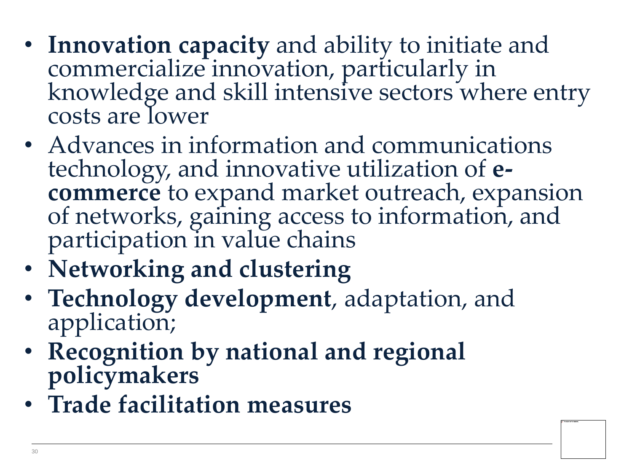- **Innovation capacity** and ability to initiate and commercialize innovation, particularly in knowledge and skill intensive sectors where entry costs are lower
- Advances in information and communications technology, and innovative utilization of **ecommerce** to expand market outreach, expansion of networks, gaining access to information, and participation in value chains
- **Networking and clustering**
- **Technology development**, adaptation, and application;
- **Recognition by national and regional policymakers**
- **Trade facilitation measures**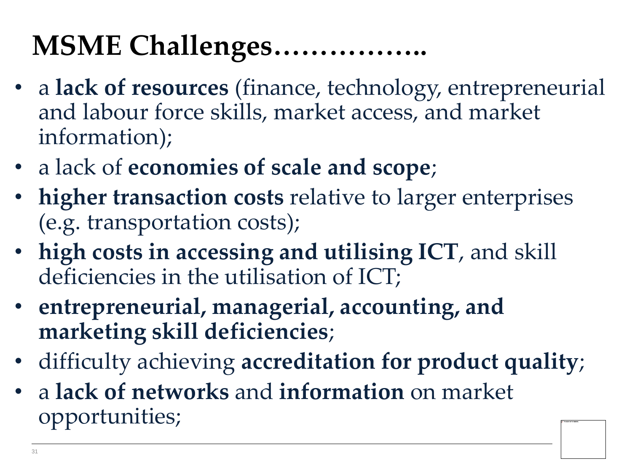### **MSME Challenges……………..**

- a **lack of resources** (finance, technology, entrepreneurial and labour force skills, market access, and market information);
- a lack of **economies of scale and scope**;
- **higher transaction costs** relative to larger enterprises (e.g. transportation costs);
- **high costs in accessing and utilising ICT**, and skill deficiencies in the utilisation of ICT;
- **entrepreneurial, managerial, accounting, and marketing skill deficiencies**;
- difficulty achieving **accreditation for product quality**;
- a **lack of networks** and **information** on market opportunities;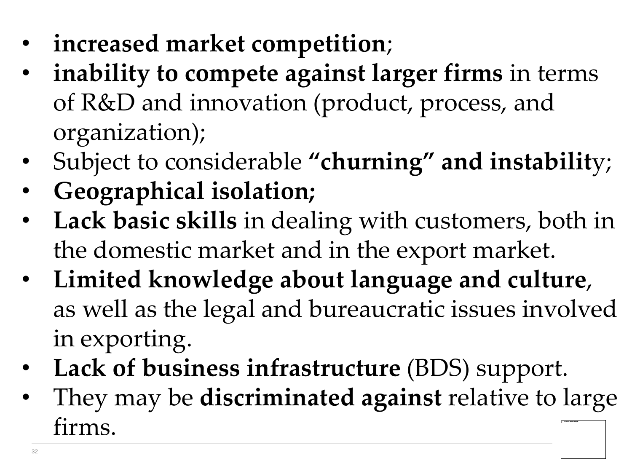- **increased market competition**;
- **inability to compete against larger firms** in terms of R&D and innovation (product, process, and organization);
- Subject to considerable **"churning" and instabilit**y;
- **Geographical isolation;**
- **Lack basic skills** in dealing with customers, both in the domestic market and in the export market.
- **Limited knowledge about language and culture**, as well as the legal and bureaucratic issues involved in exporting.
- **Lack of business infrastructure** (BDS) support.
- They may be **discriminated against** relative to large firms.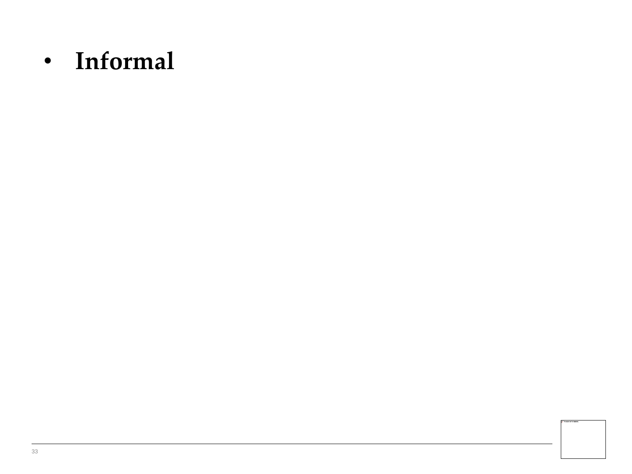• **Informal**

33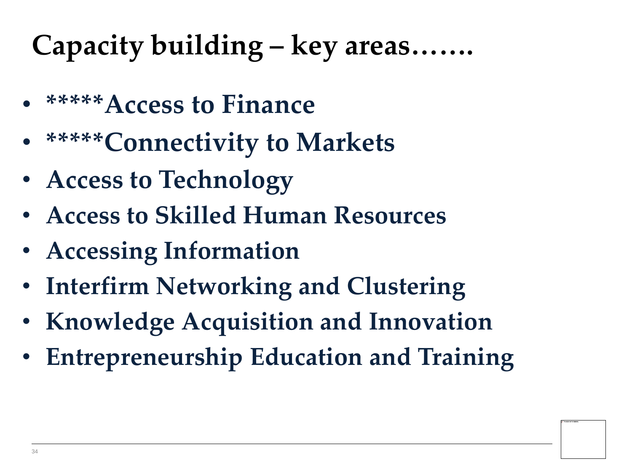### **Capacity building – key areas…….**

- **\*\*\*\*\*Access to Finance**
- **\*\*\*\*\*Connectivity to Markets**
- **Access to Technology**
- **Access to Skilled Human Resources**
- **Accessing Information**
- **Interfirm Networking and Clustering**
- **Knowledge Acquisition and Innovation**
- **Entrepreneurship Education and Training**